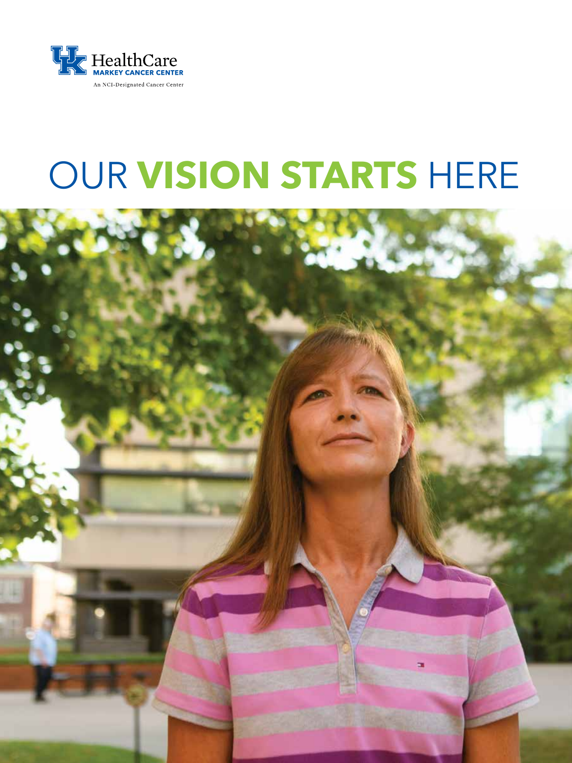

# OUR **VISION STARTS** HERE

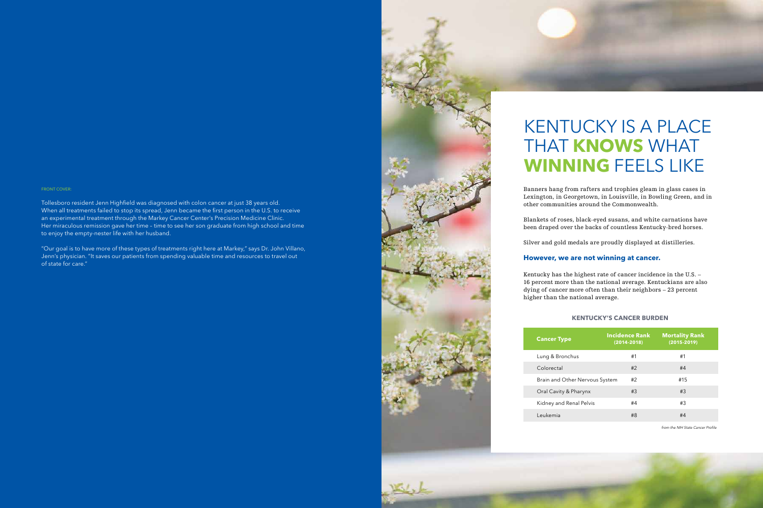# KENTUCKY IS A PLACE THAT **KNOWS** WHAT **WINNING** FEELS LIKE

Banners hang from rafters and trophies gleam in glass cases in Lexington, in Georgetown, in Louisville, in Bowling Green, and in other communities around the Commonwealth.

Blankets of roses, black-eyed susans, and white carnations have been draped over the backs of countless Kentucky-bred horses.

Silver and gold medals are proudly displayed at distilleries.

# **However, we are not winning at cancer.**

Kentucky has the highest rate of cancer incidence in the U.S. – 16 percent more than the national average. Kentuckians are also dying of cancer more often than their neighbors – 23 percent higher than the national average.

#### FRONT COVER:

Tollesboro resident Jenn Highfield was diagnosed with colon cancer at just 38 years old. When all treatments failed to stop its spread, Jenn became the first person in the U.S. to receive an experimental treatment through the Markey Cancer Center's Precision Medicine Clinic. Her miraculous remission gave her time – time to see her son graduate from high school and time to enjoy the empty-nester life with her husband.

"Our goal is to have more of these types of treatments right here at Markey," says Dr. John Villano, Jenn's physician. "It saves our patients from spending valuable time and resources to travel out of state for care."



#### **KENTUCKY'S CANCER BURDEN**

| <b>Cancer Type</b>             | <b>Incidence Rank</b><br>$(2014 - 2018)$ | <b>Mortality Rank</b><br>$(2015 - 2019)$ |
|--------------------------------|------------------------------------------|------------------------------------------|
| Lung & Bronchus                | #1                                       | #1                                       |
| Colorectal                     | #2                                       | #4                                       |
| Brain and Other Nervous System | #2                                       | #15                                      |
| Oral Cavity & Pharynx          | #3                                       | #3                                       |
| Kidney and Renal Pelvis        | #4                                       | #3                                       |
| Leukemia                       | #8                                       | #4                                       |

from the NIH State Cancer Profile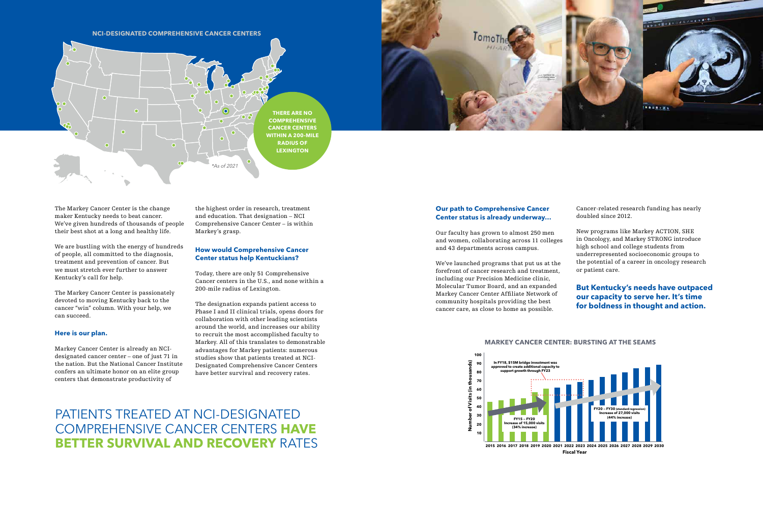# **Our path to Comprehensive Cancer Center status is already underway…**

Our faculty has grown to almost 250 men and women, collaborating across 11 colleges and 43 departments across campus.

We've launched programs that put us at the forefront of cancer research and treatment, including our Precision Medicine clinic, Molecular Tumor Board, and an expanded Markey Cancer Center Affiliate Network of community hospitals providing the best cancer care, as close to home as possible.

Cancer-related research funding has nearly doubled since 2012.

New programs like Markey ACTION, SHE in Oncology, and Markey STRONG introduce high school and college students from underrepresented socioeconomic groups to the potential of a career in oncology research or patient care.

The Markey Cancer Center is the change maker Kentucky needs to beat cancer. We've given hundreds of thousands of people their best shot at a long and healthy life.

We are bustling with the energy of hundreds of people, all committed to the diagnosis, treatment and prevention of cancer. But we must stretch ever further to answer Kentucky's call for help.

The Markey Cancer Center is passionately devoted to moving Kentucky back to the cancer "win" column. With your help, we can succeed.

#### **Here is our plan.**

Markey Cancer Center is already an NCIdesignated cancer center – one of just 71 in the nation. But the National Cancer Institute confers an ultimate honor on an elite group centers that demonstrate productivity of

the highest order in research, treatment and education. That designation – NCI Comprehensive Cancer Center – is within Markey's grasp.

### **How would Comprehensive Cancer Center status help Kentuckians?**

Today, there are only 51 Comprehensive Cancer centers in the U.S., and none within a 200-mile radius of Lexington.

The designation expands patient access to Phase I and II clinical trials, opens doors for collaboration with other leading scientists around the world, and increases our ability to recruit the most accomplished faculty to Markey. All of this translates to demonstrable advantages for Markey patients: numerous studies show that patients treated at NCI-Designated Comprehensive Cancer Centers have better survival and recovery rates.

PATIENTS TREATED AT NCI-DESIGNATED COMPREHENSIVE CANCER CENTERS **HAVE BETTER SURVIVAL AND RECOVERY** RATES

# **MARKEY CANCER CENTER: BURSTING AT THE SEAMS**







# **But Kentucky's needs have outpaced our capacity to serve her. It's time for boldness in thought and action.**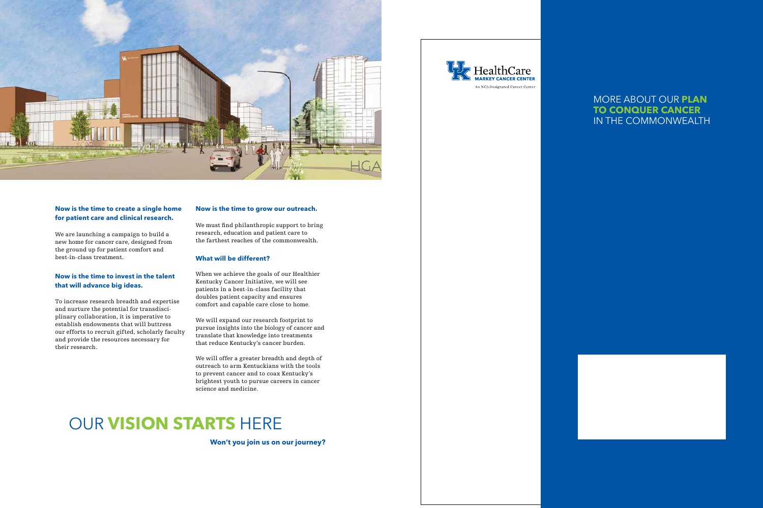

# **Now is the time to create a single home for patient care and clinical research.**

We are launching a campaign to build a new home for cancer care, designed from the ground up for patient comfort and best-in-class treatment.

# **Now is the time to invest in the talent that will advance big ideas.**

To increase research breadth and expertise and nurture the potential for transdisciplinary collaboration, it is imperative to establish endowments that will buttress our efforts to recruit gifted, scholarly faculty and provide the resources necessary for their research.

### **Now is the time to grow our outreach.**

We must find philanthropic support to bring research, education and patient care to the farthest reaches of the commonwealth.

# **What will be different?**

When we achieve the goals of our Healthier Kentucky Cancer Initiative, we will see patients in a best-in-class facility that doubles patient capacity and ensures comfort and capable care close to home.

We will expand our research footprint to pursue insights into the biology of cancer and translate that knowledge into treatments that reduce Kentucky's cancer burden.

We will offer a greater breadth and depth of outreach to arm Kentuckians with the tools to prevent cancer and to coax Kentucky's brightest youth to pursue careers in cancer science and medicine.

# OUR **VISION STARTS** HERE

**Won't you join us on our journey?**



# MORE ABOUT OUR **PLAN TO CONQUER CANCER**  IN THE COMMONWEALTH